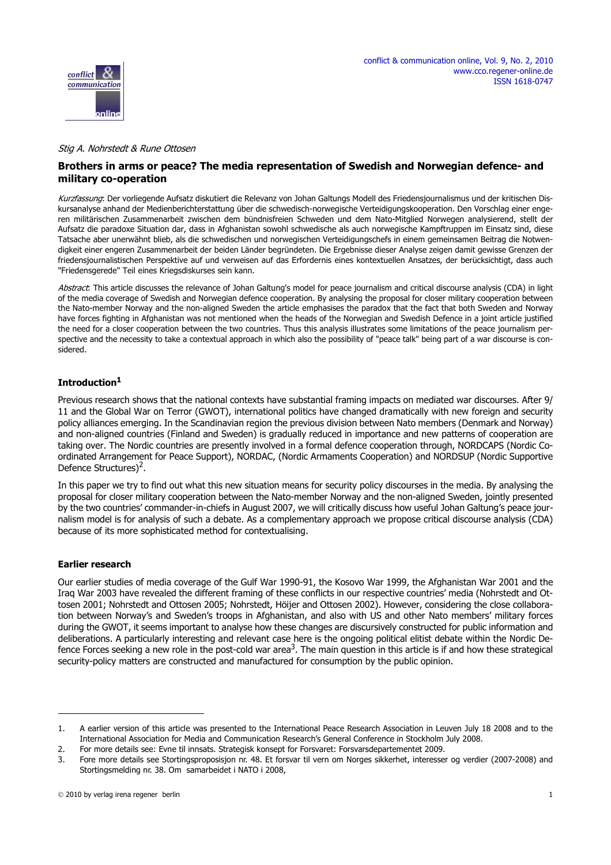

### Stig A. Nohrstedt & Rune Ottosen

# **Brothers in arms or peace? The media representation of Swedish and Norwegian defence- and military co-operation**

Kurzfassung: Der vorliegende Aufsatz diskutiert die Relevanz von Johan Galtungs Modell des Friedensjournalismus und der kritischen Diskursanalyse anhand der Medienberichterstattung über die schwedisch-norwegische Verteidigungskooperation. Den Vorschlag einer engeren militärischen Zusammenarbeit zwischen dem bündnisfreien Schweden und dem Nato-Mitglied Norwegen analysierend, stellt der Aufsatz die paradoxe Situation dar, dass in Afghanistan sowohl schwedische als auch norwegische Kampftruppen im Einsatz sind, diese Tatsache aber unerwähnt blieb, als die schwedischen und norwegischen Verteidigungschefs in einem gemeinsamen Beitrag die Notwendigkeit einer engeren Zusammenarbeit der beiden Länder begründeten. Die Ergebnisse dieser Analyse zeigen damit gewisse Grenzen der friedensjournalistischen Perspektive auf und verweisen auf das Erfordernis eines kontextuellen Ansatzes, der berücksichtigt, dass auch "Friedensgerede" Teil eines Kriegsdiskurses sein kann.

Abstract: This article discusses the relevance of Johan Galtung's model for peace journalism and critical discourse analysis (CDA) in light of the media coverage of Swedish and Norwegian defence cooperation. By analysing the proposal for closer military cooperation between the Nato-member Norway and the non-aligned Sweden the article emphasises the paradox that the fact that both Sweden and Norway have forces fighting in Afghanistan was not mentioned when the heads of the Norwegian and Swedish Defence in a joint article justified the need for a closer cooperation between the two countries. Thus this analysis illustrates some limitations of the peace journalism perspective and the necessity to take a contextual approach in which also the possibility of "peace talk" being part of a war discourse is considered.

# **Introduction1**

Previous research shows that the national contexts have substantial framing impacts on mediated war discourses. After 9/ 11 and the Global War on Terror (GWOT), international politics have changed dramatically with new foreign and security policy alliances emerging. In the Scandinavian region the previous division between Nato members (Denmark and Norway) and non-aligned countries (Finland and Sweden) is gradually reduced in importance and new patterns of cooperation are taking over. The Nordic countries are presently involved in a formal defence cooperation through, NORDCAPS (Nordic Coordinated Arrangement for Peace Support), NORDAC, (Nordic Armaments Cooperation) and NORDSUP (Nordic Supportive Defence Structures)<sup>2</sup>.

In this paper we try to find out what this new situation means for security policy discourses in the media. By analysing the proposal for closer military cooperation between the Nato-member Norway and the non-aligned Sweden, jointly presented by the two countries' commander-in-chiefs in August 2007, we will critically discuss how useful Johan Galtung's peace journalism model is for analysis of such a debate. As a complementary approach we propose critical discourse analysis (CDA) because of its more sophisticated method for contextualising.

### **Earlier research**

Our earlier studies of media coverage of the Gulf War 1990-91, the Kosovo War 1999, the Afghanistan War 2001 and the Iraq War 2003 have revealed the different framing of these conflicts in our respective countries' media (Nohrstedt and Ottosen 2001; Nohrstedt and Ottosen 2005; Nohrstedt, Höijer and Ottosen 2002). However, considering the close collaboration between Norway's and Sweden's troops in Afghanistan, and also with US and other Nato members' military forces during the GWOT, it seems important to analyse how these changes are discursively constructed for public information and deliberations. A particularly interesting and relevant case here is the ongoing political elitist debate within the Nordic Defence Forces seeking a new role in the post-cold war area<sup>3</sup>. The main question in this article is if and how these strategical security-policy matters are constructed and manufactured for consumption by the public opinion.

<sup>1.</sup> A earlier version of this article was presented to the International Peace Research Association in Leuven July 18 2008 and to the International Association for Media and Communication Research's General Conference in Stockholm July 2008.

<sup>2.</sup> For more details see: Evne til innsats. Strategisk konsept for Forsvaret: Forsvarsdepartementet 2009.

<sup>3.</sup> Fore more details see Stortingsproposisjon nr. 48. Et forsvar til vern om Norges sikkerhet, interesser og verdier (2007-2008) and Stortingsmelding nr. 38. Om samarbeidet i NATO i 2008,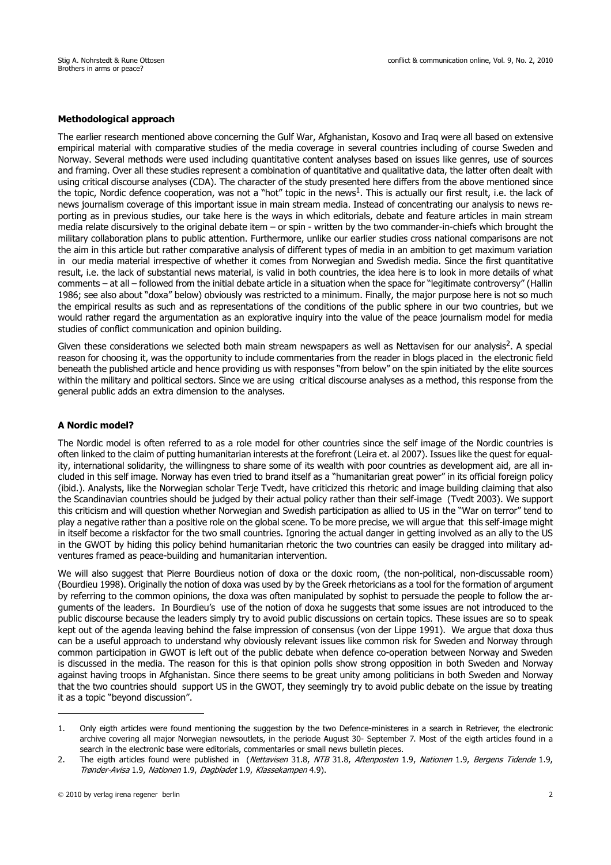### **Methodological approach**

The earlier research mentioned above concerning the Gulf War, Afghanistan, Kosovo and Iraq were all based on extensive empirical material with comparative studies of the media coverage in several countries including of course Sweden and Norway. Several methods were used including quantitative content analyses based on issues like genres, use of sources and framing. Over all these studies represent a combination of quantitative and qualitative data, the latter often dealt with using critical discourse analyses (CDA). The character of the study presented here differs from the above mentioned since the topic, Nordic defence cooperation, was not a "hot" topic in the news<sup>1</sup>. This is actually our first result, i.e. the lack of news journalism coverage of this important issue in main stream media. Instead of concentrating our analysis to news reporting as in previous studies, our take here is the ways in which editorials, debate and feature articles in main stream media relate discursively to the original debate item – or spin - written by the two commander-in-chiefs which brought the military collaboration plans to public attention. Furthermore, unlike our earlier studies cross national comparisons are not the aim in this article but rather comparative analysis of different types of media in an ambition to get maximum variation in our media material irrespective of whether it comes from Norwegian and Swedish media. Since the first quantitative result, i.e. the lack of substantial news material, is valid in both countries, the idea here is to look in more details of what comments – at all – followed from the initial debate article in a situation when the space for "legitimate controversy" (Hallin 1986; see also about "doxa" below) obviously was restricted to a minimum. Finally, the major purpose here is not so much the empirical results as such and as representations of the conditions of the public sphere in our two countries, but we would rather regard the argumentation as an explorative inquiry into the value of the peace journalism model for media studies of conflict communication and opinion building.

Given these considerations we selected both main stream newspapers as well as Nettavisen for our analysis<sup>2</sup>. A special reason for choosing it, was the opportunity to include commentaries from the reader in blogs placed in the electronic field beneath the published article and hence providing us with responses "from below" on the spin initiated by the elite sources within the military and political sectors. Since we are using critical discourse analyses as a method, this response from the general public adds an extra dimension to the analyses.

### **A Nordic model?**

The Nordic model is often referred to as a role model for other countries since the self image of the Nordic countries is often linked to the claim of putting humanitarian interests at the forefront (Leira et. al 2007). Issues like the quest for equality, international solidarity, the willingness to share some of its wealth with poor countries as development aid, are all included in this self image. Norway has even tried to brand itself as a "humanitarian great power" in its official foreign policy (ibid.). Analysts, like the Norwegian scholar Terje Tvedt, have criticized this rhetoric and image building claiming that also the Scandinavian countries should be judged by their actual policy rather than their self-image (Tvedt 2003). We support this criticism and will question whether Norwegian and Swedish participation as allied to US in the "War on terror" tend to play a negative rather than a positive role on the global scene. To be more precise, we will argue that this self-image might in itself become a riskfactor for the two small countries. Ignoring the actual danger in getting involved as an ally to the US in the GWOT by hiding this policy behind humanitarian rhetoric the two countries can easily be dragged into military adventures framed as peace-building and humanitarian intervention.

We will also suggest that Pierre Bourdieus notion of doxa or the doxic room, (the non-political, non-discussable room) (Bourdieu 1998). Originally the notion of doxa was used by by the Greek rhetoricians as a tool for the formation of argument by referring to the common opinions, the doxa was often manipulated by sophist to persuade the people to follow the arguments of the leaders. In Bourdieu's use of the notion of doxa he suggests that some issues are not introduced to the public discourse because the leaders simply try to avoid public discussions on certain topics. These issues are so to speak kept out of the agenda leaving behind the false impression of consensus (von der Lippe 1991). We argue that doxa thus can be a useful approach to understand why obviously relevant issues like common risk for Sweden and Norway through common participation in GWOT is left out of the public debate when defence co-operation between Norway and Sweden is discussed in the media. The reason for this is that opinion polls show strong opposition in both Sweden and Norway against having troops in Afghanistan. Since there seems to be great unity among politicians in both Sweden and Norway that the two countries should support US in the GWOT, they seemingly try to avoid public debate on the issue by treating it as a topic "beyond discussion".

<sup>1.</sup> Only eigth articles were found mentioning the suggestion by the two Defence-ministeres in a search in Retriever, the electronic archive covering all major Norwegian newsoutlets, in the periode August 30- September 7. Most of the eigth articles found in a search in the electronic base were editorials, commentaries or small news bulletin pieces.

<sup>2.</sup> The eigth articles found were published in (Nettavisen 31.8, NTB 31.8, Aftenposten 1.9, Nationen 1.9, Bergens Tidende 1.9, Trønder-Avisa 1.9, Nationen 1.9, Dagbladet 1.9, Klassekampen 4.9).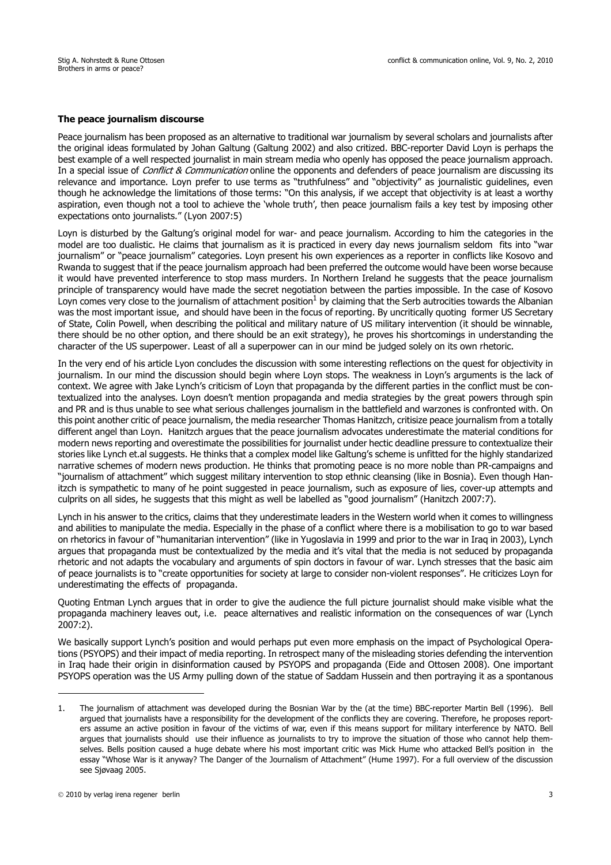### **The peace journalism discourse**

Peace journalism has been proposed as an alternative to traditional war journalism by several scholars and journalists after the original ideas formulated by Johan Galtung (Galtung 2002) and also critized. BBC-reporter David Loyn is perhaps the best example of a well respected journalist in main stream media who openly has opposed the peace journalism approach. In a special issue of *Conflict & Communication* online the opponents and defenders of peace journalism are discussing its relevance and importance. Loyn prefer to use terms as "truthfulness" and "objectivity" as journalistic guidelines, even though he acknowledge the limitations of those terms: "On this analysis, if we accept that objectivity is at least a worthy aspiration, even though not a tool to achieve the 'whole truth', then peace journalism fails a key test by imposing other expectations onto journalists." (Lyon 2007:5)

Loyn is disturbed by the Galtung's original model for war- and peace journalism. According to him the categories in the model are too dualistic. He claims that journalism as it is practiced in every day news journalism seldom fits into "war journalism" or "peace journalism" categories. Loyn present his own experiences as a reporter in conflicts like Kosovo and Rwanda to suggest that if the peace journalism approach had been preferred the outcome would have been worse because it would have prevented interference to stop mass murders. In Northern Ireland he suggests that the peace journalism principle of transparency would have made the secret negotiation between the parties impossible. In the case of Kosovo Loyn comes very close to the journalism of attachment position $1$  by claiming that the Serb autrocities towards the Albanian was the most important issue, and should have been in the focus of reporting. By uncritically quoting former US Secretary of State, Colin Powell, when describing the political and military nature of US military intervention (it should be winnable, there should be no other option, and there should be an exit strategy), he proves his shortcomings in understanding the character of the US superpower. Least of all a superpower can in our mind be judged solely on its own rhetoric.

In the very end of his article Lyon concludes the discussion with some interesting reflections on the quest for objectivity in journalism. In our mind the discussion should begin where Loyn stops. The weakness in Loyn's arguments is the lack of context. We agree with Jake Lynch's criticism of Loyn that propaganda by the different parties in the conflict must be contextualized into the analyses. Loyn doesn't mention propaganda and media strategies by the great powers through spin and PR and is thus unable to see what serious challenges journalism in the battlefield and warzones is confronted with. On this point another critic of peace journalism, the media researcher Thomas Hanitzch, critisize peace journalism from a totally different angel than Loyn. Hanitzch argues that the peace journalism advocates underestimate the material conditions for modern news reporting and overestimate the possibilities for journalist under hectic deadline pressure to contextualize their stories like Lynch et.al suggests. He thinks that a complex model like Galtung's scheme is unfitted for the highly standarized narrative schemes of modern news production. He thinks that promoting peace is no more noble than PR-campaigns and "journalism of attachment" which suggest military intervention to stop ethnic cleansing (like in Bosnia). Even though Hanitzch is sympathetic to many of he point suggested in peace journalism, such as exposure of lies, cover-up attempts and culprits on all sides, he suggests that this might as well be labelled as "good journalism" (Hanitzch 2007:7).

Lynch in his answer to the critics, claims that they underestimate leaders in the Western world when it comes to willingness and abilities to manipulate the media. Especially in the phase of a conflict where there is a mobilisation to go to war based on rhetorics in favour of "humanitarian intervention" (like in Yugoslavia in 1999 and prior to the war in Iraq in 2003), Lynch argues that propaganda must be contextualized by the media and it's vital that the media is not seduced by propaganda rhetoric and not adapts the vocabulary and arguments of spin doctors in favour of war. Lynch stresses that the basic aim of peace journalists is to "create opportunities for society at large to consider non-violent responses". He criticizes Loyn for underestimating the effects of propaganda.

Quoting Entman Lynch argues that in order to give the audience the full picture journalist should make visible what the propaganda machinery leaves out, i.e. peace alternatives and realistic information on the consequences of war (Lynch 2007:2).

We basically support Lynch's position and would perhaps put even more emphasis on the impact of Psychological Operations (PSYOPS) and their impact of media reporting. In retrospect many of the misleading stories defending the intervention in Iraq hade their origin in disinformation caused by PSYOPS and propaganda (Eide and Ottosen 2008). One important PSYOPS operation was the US Army pulling down of the statue of Saddam Hussein and then portraying it as a spontanous

<sup>1.</sup> The journalism of attachment was developed during the Bosnian War by the (at the time) BBC-reporter Martin Bell (1996). Bell argued that journalists have a responsibility for the development of the conflicts they are covering. Therefore, he proposes reporters assume an active position in favour of the victims of war, even if this means support for military interference by NATO. Bell argues that journalists should use their influence as journalists to try to improve the situation of those who cannot help themselves. Bells position caused a huge debate where his most important critic was Mick Hume who attacked Bell's position in the essay "Whose War is it anyway? The Danger of the Journalism of Attachment" (Hume 1997). For a full overview of the discussion see Sjøvaag 2005.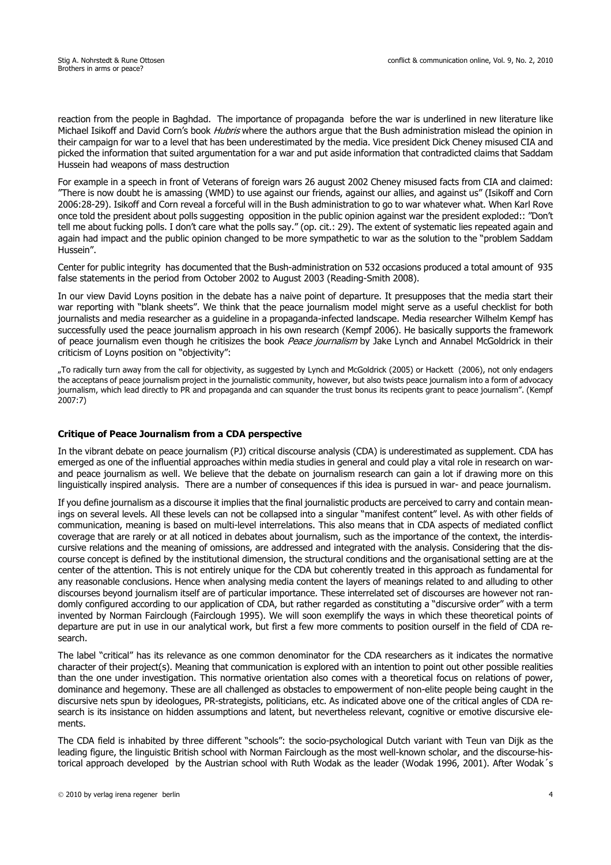reaction from the people in Baghdad. The importance of propaganda before the war is underlined in new literature like Michael Isikoff and David Corn's book *Hubris* where the authors argue that the Bush administration mislead the opinion in their campaign for war to a level that has been underestimated by the media. Vice president Dick Cheney misused CIA and picked the information that suited argumentation for a war and put aside information that contradicted claims that Saddam Hussein had weapons of mass destruction

For example in a speech in front of Veterans of foreign wars 26 august 2002 Cheney misused facts from CIA and claimed: "There is now doubt he is amassing (WMD) to use against our friends, against our allies, and against us" (Isikoff and Corn 2006:28-29). Isikoff and Corn reveal a forceful will in the Bush administration to go to war whatever what. When Karl Rove once told the president about polls suggesting opposition in the public opinion against war the president exploded:: "Don't tell me about fucking polls. I don't care what the polls say." (op. cit.: 29). The extent of systematic lies repeated again and again had impact and the public opinion changed to be more sympathetic to war as the solution to the "problem Saddam Hussein".

Center for public integrity has documented that the Bush-administration on 532 occasions produced a total amount of 935 false statements in the period from October 2002 to August 2003 (Reading-Smith 2008).

In our view David Loyns position in the debate has a naive point of departure. It presupposes that the media start their war reporting with "blank sheets". We think that the peace journalism model might serve as a useful checklist for both journalists and media researcher as a guideline in a propaganda-infected landscape. Media researcher Wilhelm Kempf has successfully used the peace journalism approach in his own research (Kempf 2006). He basically supports the framework of peace journalism even though he critisizes the book *Peace journalism* by Jake Lynch and Annabel McGoldrick in their criticism of Loyns position on "objectivity":

"To radically turn away from the call for objectivity, as suggested by Lynch and McGoldrick (2005) or Hackett (2006), not only endagers the acceptans of peace journalism project in the journalistic community, however, but also twists peace journalism into a form of advocacy journalism, which lead directly to PR and propaganda and can squander the trust bonus its recipents grant to peace journalism". (Kempf 2007:7)

## **Critique of Peace Journalism from a CDA perspective**

In the vibrant debate on peace journalism (PJ) critical discourse analysis (CDA) is underestimated as supplement. CDA has emerged as one of the influential approaches within media studies in general and could play a vital role in research on warand peace journalism as well. We believe that the debate on journalism research can gain a lot if drawing more on this linguistically inspired analysis. There are a number of consequences if this idea is pursued in war- and peace journalism.

If you define journalism as a discourse it implies that the final journalistic products are perceived to carry and contain meanings on several levels. All these levels can not be collapsed into a singular "manifest content" level. As with other fields of communication, meaning is based on multi-level interrelations. This also means that in CDA aspects of mediated conflict coverage that are rarely or at all noticed in debates about journalism, such as the importance of the context, the interdiscursive relations and the meaning of omissions, are addressed and integrated with the analysis. Considering that the discourse concept is defined by the institutional dimension, the structural conditions and the organisational setting are at the center of the attention. This is not entirely unique for the CDA but coherently treated in this approach as fundamental for any reasonable conclusions. Hence when analysing media content the layers of meanings related to and alluding to other discourses beyond journalism itself are of particular importance. These interrelated set of discourses are however not randomly configured according to our application of CDA, but rather regarded as constituting a "discursive order" with a term invented by Norman Fairclough (Fairclough 1995). We will soon exemplify the ways in which these theoretical points of departure are put in use in our analytical work, but first a few more comments to position ourself in the field of CDA research.

The label "critical" has its relevance as one common denominator for the CDA researchers as it indicates the normative character of their project(s). Meaning that communication is explored with an intention to point out other possible realities than the one under investigation. This normative orientation also comes with a theoretical focus on relations of power, dominance and hegemony. These are all challenged as obstacles to empowerment of non-elite people being caught in the discursive nets spun by ideologues, PR-strategists, politicians, etc. As indicated above one of the critical angles of CDA research is its insistance on hidden assumptions and latent, but nevertheless relevant, cognitive or emotive discursive elements.

The CDA field is inhabited by three different "schools": the socio-psychological Dutch variant with Teun van Dijk as the leading figure, the linguistic British school with Norman Fairclough as the most well-known scholar, and the discourse-historical approach developed by the Austrian school with Ruth Wodak as the leader (Wodak 1996, 2001). After Wodak´s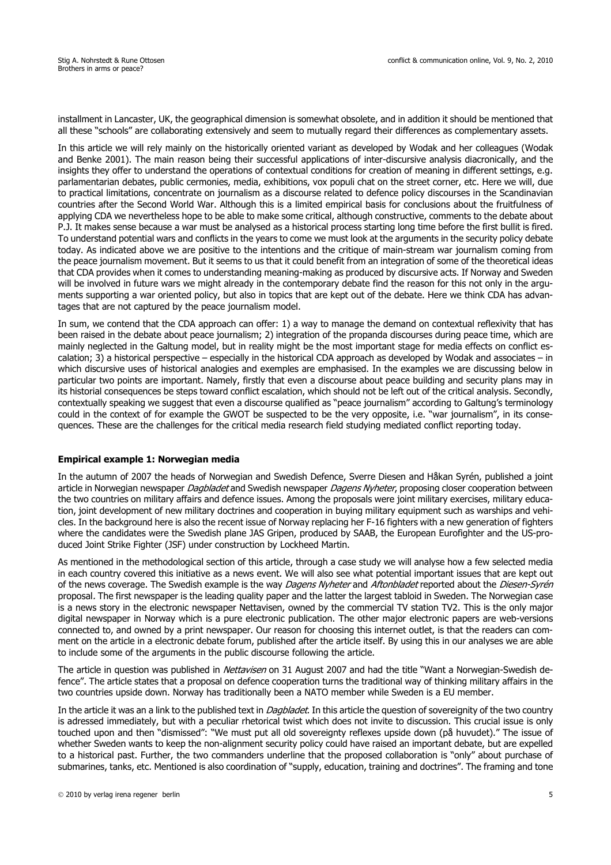installment in Lancaster, UK, the geographical dimension is somewhat obsolete, and in addition it should be mentioned that all these "schools" are collaborating extensively and seem to mutually regard their differences as complementary assets.

In this article we will rely mainly on the historically oriented variant as developed by Wodak and her colleagues (Wodak and Benke 2001). The main reason being their successful applications of inter-discursive analysis diacronically, and the insights they offer to understand the operations of contextual conditions for creation of meaning in different settings, e.g. parlamentarian debates, public cermonies, media, exhibitions, vox populi chat on the street corner, etc. Here we will, due to practical limitations, concentrate on journalism as a discourse related to defence policy discourses in the Scandinavian countries after the Second World War. Although this is a limited empirical basis for conclusions about the fruitfulness of applying CDA we nevertheless hope to be able to make some critical, although constructive, comments to the debate about P.J. It makes sense because a war must be analysed as a historical process starting long time before the first bullit is fired. To understand potential wars and conflicts in the years to come we must look at the arguments in the security policy debate today. As indicated above we are positive to the intentions and the critique of main-stream war journalism coming from the peace journalism movement. But it seems to us that it could benefit from an integration of some of the theoretical ideas that CDA provides when it comes to understanding meaning-making as produced by discursive acts. If Norway and Sweden will be involved in future wars we might already in the contemporary debate find the reason for this not only in the arguments supporting a war oriented policy, but also in topics that are kept out of the debate. Here we think CDA has advantages that are not captured by the peace journalism model.

In sum, we contend that the CDA approach can offer: 1) a way to manage the demand on contextual reflexivity that has been raised in the debate about peace journalism; 2) integration of the propanda discourses during peace time, which are mainly neglected in the Galtung model, but in reality might be the most important stage for media effects on conflict escalation; 3) a historical perspective – especially in the historical CDA approach as developed by Wodak and associates – in which discursive uses of historical analogies and exemples are emphasised. In the examples we are discussing below in particular two points are important. Namely, firstly that even a discourse about peace building and security plans may in its historial consequences be steps toward conflict escalation, which should not be left out of the critical analysis. Secondly, contextually speaking we suggest that even a discourse qualified as "peace journalism" according to Galtung's terminology could in the context of for example the GWOT be suspected to be the very opposite, i.e. "war journalism", in its consequences. These are the challenges for the critical media research field studying mediated conflict reporting today.

### **Empirical example 1: Norwegian media**

In the autumn of 2007 the heads of Norwegian and Swedish Defence, Sverre Diesen and Håkan Syrén, published a joint article in Norwegian newspaper Dagbladet and Swedish newspaper Dagens Nyheter, proposing closer cooperation between the two countries on military affairs and defence issues. Among the proposals were joint military exercises, military education, joint development of new military doctrines and cooperation in buying military equipment such as warships and vehicles. In the background here is also the recent issue of Norway replacing her F-16 fighters with a new generation of fighters where the candidates were the Swedish plane JAS Gripen, produced by SAAB, the European Eurofighter and the US-produced Joint Strike Fighter (JSF) under construction by Lockheed Martin.

As mentioned in the methodological section of this article, through a case study we will analyse how a few selected media in each country covered this initiative as a news event. We will also see what potential important issues that are kept out of the news coverage. The Swedish example is the way Dagens Nyheter and Aftonbladet reported about the Diesen-Syrén proposal. The first newspaper is the leading quality paper and the latter the largest tabloid in Sweden. The Norwegian case is a news story in the electronic newspaper Nettavisen, owned by the commercial TV station TV2. This is the only major digital newspaper in Norway which is a pure electronic publication. The other major electronic papers are web-versions connected to, and owned by a print newspaper. Our reason for choosing this internet outlet, is that the readers can comment on the article in a electronic debate forum, published after the article itself. By using this in our analyses we are able to include some of the arguments in the public discourse following the article.

The article in question was published in Nettavisen on 31 August 2007 and had the title "Want a Norwegian-Swedish defence". The article states that a proposal on defence cooperation turns the traditional way of thinking military affairs in the two countries upside down. Norway has traditionally been a NATO member while Sweden is a EU member.

In the article it was an a link to the published text in *Dagbladet*. In this article the question of sovereignity of the two country is adressed immediately, but with a peculiar rhetorical twist which does not invite to discussion. This crucial issue is only touched upon and then "dismissed": "We must put all old sovereignty reflexes upside down (på huvudet)." The issue of whether Sweden wants to keep the non-alignment security policy could have raised an important debate, but are expelled to a historical past. Further, the two commanders underline that the proposed collaboration is "only" about purchase of submarines, tanks, etc. Mentioned is also coordination of "supply, education, training and doctrines". The framing and tone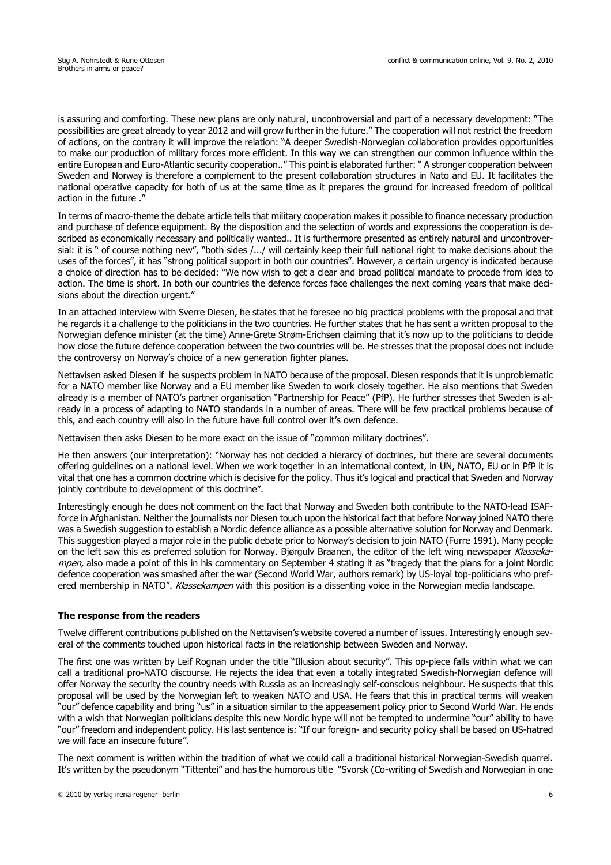is assuring and comforting. These new plans are only natural, uncontroversial and part of a necessary development: "The possibilities are great already to year 2012 and will grow further in the future." The cooperation will not restrict the freedom of actions, on the contrary it will improve the relation: "A deeper Swedish-Norwegian collaboration provides opportunities to make our production of military forces more efficient. In this way we can strengthen our common influence within the entire European and Euro-Atlantic security cooperation.." This point is elaborated further: " A stronger cooperation between Sweden and Norway is therefore a complement to the present collaboration structures in Nato and EU. It facilitates the national operative capacity for both of us at the same time as it prepares the ground for increased freedom of political action in the future ."

In terms of macro-theme the debate article tells that military cooperation makes it possible to finance necessary production and purchase of defence equipment. By the disposition and the selection of words and expressions the cooperation is described as economically necessary and politically wanted.. It is furthermore presented as entirely natural and uncontroversial: it is " of course nothing new", "both sides /.../ will certainly keep their full national right to make decisions about the uses of the forces", it has "strong political support in both our countries". However, a certain urgency is indicated because a choice of direction has to be decided: "We now wish to get a clear and broad political mandate to procede from idea to action. The time is short. In both our countries the defence forces face challenges the next coming years that make decisions about the direction urgent."

In an attached interview with Sverre Diesen, he states that he foresee no big practical problems with the proposal and that he regards it a challenge to the politicians in the two countries. He further states that he has sent a written proposal to the Norwegian defence minister (at the time) Anne-Grete Strøm-Erichsen claiming that it's now up to the politicians to decide how close the future defence cooperation between the two countries will be. He stresses that the proposal does not include the controversy on Norway's choice of a new generation fighter planes.

Nettavisen asked Diesen if he suspects problem in NATO because of the proposal. Diesen responds that it is unproblematic for a NATO member like Norway and a EU member like Sweden to work closely together. He also mentions that Sweden already is a member of NATO's partner organisation "Partnership for Peace" (PfP). He further stresses that Sweden is already in a process of adapting to NATO standards in a number of areas. There will be few practical problems because of this, and each country will also in the future have full control over it's own defence.

Nettavisen then asks Diesen to be more exact on the issue of "common military doctrines".

He then answers (our interpretation): "Norway has not decided a hierarcy of doctrines, but there are several documents offering guidelines on a national level. When we work together in an international context, in UN, NATO, EU or in PfP it is vital that one has a common doctrine which is decisive for the policy. Thus it's logical and practical that Sweden and Norway jointly contribute to development of this doctrine".

Interestingly enough he does not comment on the fact that Norway and Sweden both contribute to the NATO-lead ISAFforce in Afghanistan. Neither the journalists nor Diesen touch upon the historical fact that before Norway joined NATO there was a Swedish suggestion to establish a Nordic defence alliance as a possible alternative solution for Norway and Denmark. This suggestion played a major role in the public debate prior to Norway's decision to join NATO (Furre 1991). Many people on the left saw this as preferred solution for Norway. Bjørgulv Braanen, the editor of the left wing newspaper Klassekampen, also made a point of this in his commentary on September 4 stating it as "tragedy that the plans for a joint Nordic defence cooperation was smashed after the war (Second World War, authors remark) by US-loyal top-politicians who prefered membership in NATO". Klassekampen with this position is a dissenting voice in the Norwegian media landscape.

### **The response from the readers**

Twelve different contributions published on the Nettavisen's website covered a number of issues. Interestingly enough several of the comments touched upon historical facts in the relationship between Sweden and Norway.

The first one was written by Leif Rognan under the title "Illusion about security". This op-piece falls within what we can call a traditional pro-NATO discourse. He rejects the idea that even a totally integrated Swedish-Norwegian defence will offer Norway the security the country needs with Russia as an increasingly self-conscious neighbour. He suspects that this proposal will be used by the Norwegian left to weaken NATO and USA. He fears that this in practical terms will weaken "our" defence capability and bring "us" in a situation similar to the appeasement policy prior to Second World War. He ends with a wish that Norwegian politicians despite this new Nordic hype will not be tempted to undermine "our" ability to have "our" freedom and independent policy. His last sentence is: "If our foreign- and security policy shall be based on US-hatred we will face an insecure future".

The next comment is written within the tradition of what we could call a traditional historical Norwegian-Swedish quarrel. It's written by the pseudonym "Tittentei" and has the humorous title "Svorsk (Co-writing of Swedish and Norwegian in one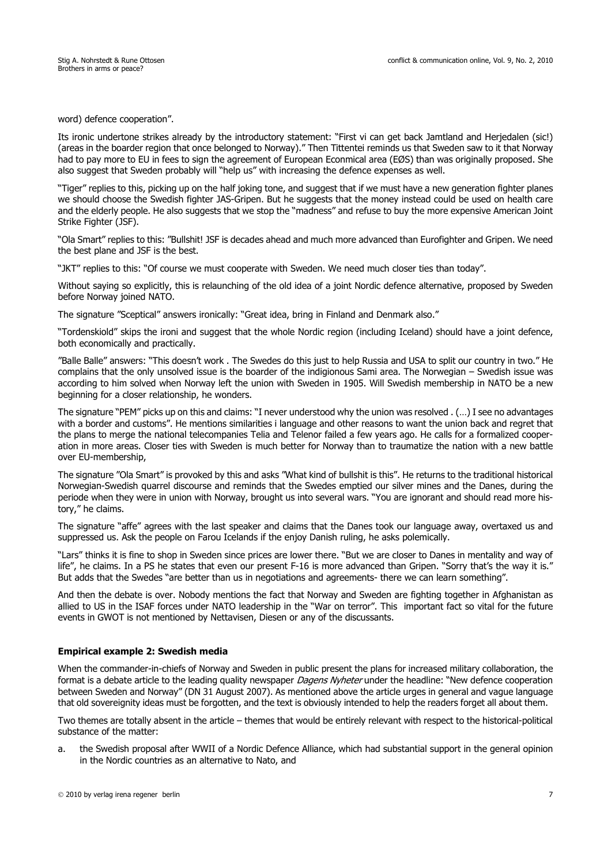word) defence cooperation".

Its ironic undertone strikes already by the introductory statement: "First vi can get back Jamtland and Herjedalen (sic!) (areas in the boarder region that once belonged to Norway)." Then Tittentei reminds us that Sweden saw to it that Norway had to pay more to EU in fees to sign the agreement of European Econmical area (EØS) than was originally proposed. She also suggest that Sweden probably will "help us" with increasing the defence expenses as well.

"Tiger" replies to this, picking up on the half joking tone, and suggest that if we must have a new generation fighter planes we should choose the Swedish fighter JAS-Gripen. But he suggests that the money instead could be used on health care and the elderly people. He also suggests that we stop the "madness" and refuse to buy the more expensive American Joint Strike Fighter (JSF).

"Ola Smart" replies to this: "Bullshit! JSF is decades ahead and much more advanced than Eurofighter and Gripen. We need the best plane and JSF is the best.

"JKT" replies to this: "Of course we must cooperate with Sweden. We need much closer ties than today".

Without saying so explicitly, this is relaunching of the old idea of a joint Nordic defence alternative, proposed by Sweden before Norway joined NATO.

The signature "Sceptical" answers ironically: "Great idea, bring in Finland and Denmark also."

"Tordenskiold" skips the ironi and suggest that the whole Nordic region (including Iceland) should have a joint defence, both economically and practically.

"Balle Balle" answers: "This doesn't work . The Swedes do this just to help Russia and USA to split our country in two." He complains that the only unsolved issue is the boarder of the indigionous Sami area. The Norwegian – Swedish issue was according to him solved when Norway left the union with Sweden in 1905. Will Swedish membership in NATO be a new beginning for a closer relationship, he wonders.

The signature "PEM" picks up on this and claims: "I never understood why the union was resolved . (…) I see no advantages with a border and customs". He mentions similarities i language and other reasons to want the union back and regret that the plans to merge the national telecompanies Telia and Telenor failed a few years ago. He calls for a formalized cooperation in more areas. Closer ties with Sweden is much better for Norway than to traumatize the nation with a new battle over EU-membership,

The signature "Ola Smart" is provoked by this and asks "What kind of bullshit is this". He returns to the traditional historical Norwegian-Swedish quarrel discourse and reminds that the Swedes emptied our silver mines and the Danes, during the periode when they were in union with Norway, brought us into several wars. "You are ignorant and should read more history," he claims.

The signature "affe" agrees with the last speaker and claims that the Danes took our language away, overtaxed us and suppressed us. Ask the people on Farou Icelands if the enjoy Danish ruling, he asks polemically.

"Lars" thinks it is fine to shop in Sweden since prices are lower there. "But we are closer to Danes in mentality and way of life", he claims. In a PS he states that even our present F-16 is more advanced than Gripen. "Sorry that's the way it is." But adds that the Swedes "are better than us in negotiations and agreements- there we can learn something".

And then the debate is over. Nobody mentions the fact that Norway and Sweden are fighting together in Afghanistan as allied to US in the ISAF forces under NATO leadership in the "War on terror". This important fact so vital for the future events in GWOT is not mentioned by Nettavisen, Diesen or any of the discussants.

### **Empirical example 2: Swedish media**

When the commander-in-chiefs of Norway and Sweden in public present the plans for increased military collaboration, the format is a debate article to the leading quality newspaper Dagens Nyheter under the headline: "New defence cooperation between Sweden and Norway" (DN 31 August 2007). As mentioned above the article urges in general and vague language that old sovereignity ideas must be forgotten, and the text is obviously intended to help the readers forget all about them.

Two themes are totally absent in the article – themes that would be entirely relevant with respect to the historical-political substance of the matter:

a. the Swedish proposal after WWII of a Nordic Defence Alliance, which had substantial support in the general opinion in the Nordic countries as an alternative to Nato, and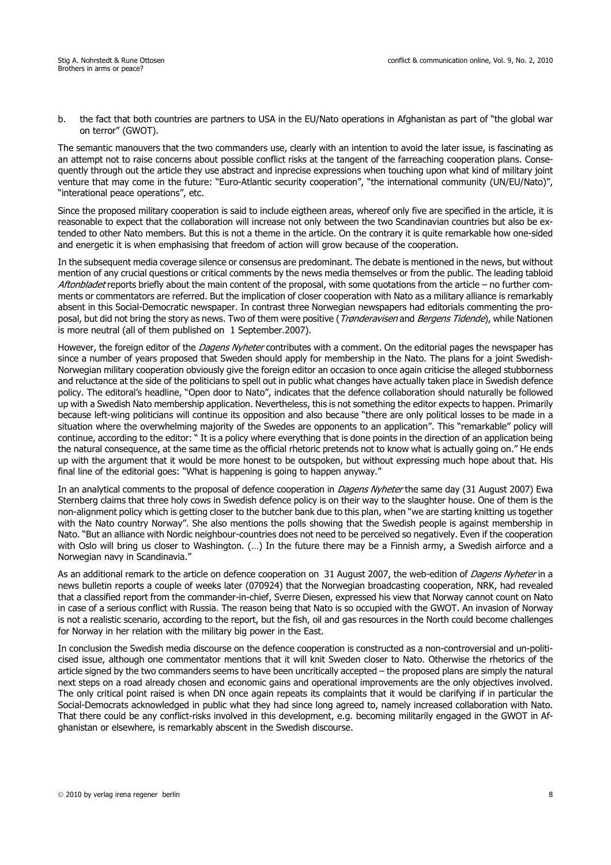b. the fact that both countries are partners to USA in the EU/Nato operations in Afghanistan as part of "the global war on terror" (GWOT).

The semantic manouvers that the two commanders use, clearly with an intention to avoid the later issue, is fascinating as an attempt not to raise concerns about possible conflict risks at the tangent of the farreaching cooperation plans. Consequently through out the article they use abstract and inprecise expressions when touching upon what kind of military joint venture that may come in the future: "Euro-Atlantic security cooperation", "the international community (UN/EU/Nato)", "interational peace operations", etc.

Since the proposed military cooperation is said to include eigtheen areas, whereof only five are specified in the article, it is reasonable to expect that the collaboration will increase not only between the two Scandinavian countries but also be extended to other Nato members. But this is not a theme in the article. On the contrary it is quite remarkable how one-sided and energetic it is when emphasising that freedom of action will grow because of the cooperation.

In the subsequent media coverage silence or consensus are predominant. The debate is mentioned in the news, but without mention of any crucial questions or critical comments by the news media themselves or from the public. The leading tabloid Aftonbladet reports briefly about the main content of the proposal, with some quotations from the article – no further comments or commentators are referred. But the implication of closer cooperation with Nato as a military alliance is remarkably absent in this Social-Democratic newspaper. In contrast three Norwegian newspapers had editorials commenting the proposal, but did not bring the story as news. Two of them were positive (*Trønderavisen* and *Bergens Tidende*), while Nationen is more neutral (all of them published on 1 September.2007).

However, the foreign editor of the Dagens Nyheter contributes with a comment. On the editorial pages the newspaper has since a number of years proposed that Sweden should apply for membership in the Nato. The plans for a joint Swedish-Norwegian military cooperation obviously give the foreign editor an occasion to once again criticise the alleged stubborness and reluctance at the side of the politicians to spell out in public what changes have actually taken place in Swedish defence policy. The editoral's headline, "Open door to Nato", indicates that the defence collaboration should naturally be followed up with a Swedish Nato membership application. Nevertheless, this is not something the editor expects to happen. Primarily because left-wing politicians will continue its opposition and also because "there are only political losses to be made in a situation where the overwhelming majority of the Swedes are opponents to an application". This "remarkable" policy will continue, according to the editor: " It is a policy where everything that is done points in the direction of an application being the natural consequence, at the same time as the official rhetoric pretends not to know what is actually going on." He ends up with the argument that it would be more honest to be outspoken, but without expressing much hope about that. His final line of the editorial goes: "What is happening is going to happen anyway."

In an analytical comments to the proposal of defence cooperation in Dagens Nyheter the same day (31 August 2007) Ewa Sternberg claims that three holy cows in Swedish defence policy is on their way to the slaughter house. One of them is the non-alignment policy which is getting closer to the butcher bank due to this plan, when "we are starting knitting us together with the Nato country Norway". She also mentions the polls showing that the Swedish people is against membership in Nato. "But an alliance with Nordic neighbour-countries does not need to be perceived so negatively. Even if the cooperation with Oslo will bring us closer to Washington. (…) In the future there may be a Finnish army, a Swedish airforce and a Norwegian navy in Scandinavia."

As an additional remark to the article on defence cooperation on 31 August 2007, the web-edition of Dagens Nyheter in a news bulletin reports a couple of weeks later (070924) that the Norwegian broadcasting cooperation, NRK, had revealed that a classified report from the commander-in-chief, Sverre Diesen, expressed his view that Norway cannot count on Nato in case of a serious conflict with Russia. The reason being that Nato is so occupied with the GWOT. An invasion of Norway is not a realistic scenario, according to the report, but the fish, oil and gas resources in the North could become challenges for Norway in her relation with the military big power in the East.

In conclusion the Swedish media discourse on the defence cooperation is constructed as a non-controversial and un-politicised issue, although one commentator mentions that it will knit Sweden closer to Nato. Otherwise the rhetorics of the article signed by the two commanders seems to have been uncritically accepted – the proposed plans are simply the natural next steps on a road already chosen and economic gains and operational improvements are the only objectives involved. The only critical point raised is when DN once again repeats its complaints that it would be clarifying if in particular the Social-Democrats acknowledged in public what they had since long agreed to, namely increased collaboration with Nato. That there could be any conflict-risks involved in this development, e.g. becoming militarily engaged in the GWOT in Afghanistan or elsewhere, is remarkably abscent in the Swedish discourse.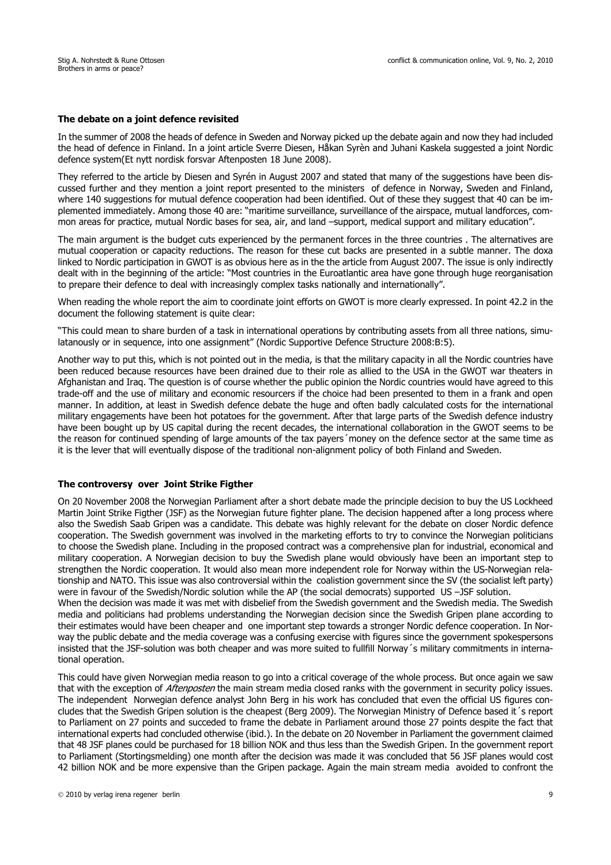### **The debate on a joint defence revisited**

In the summer of 2008 the heads of defence in Sweden and Norway picked up the debate again and now they had included the head of defence in Finland. In a joint article Sverre Diesen, Håkan Syrèn and Juhani Kaskela suggested a joint Nordic defence system(Et nytt nordisk forsvar Aftenposten 18 June 2008).

They referred to the article by Diesen and Syrén in August 2007 and stated that many of the suggestions have been discussed further and they mention a joint report presented to the ministers of defence in Norway, Sweden and Finland, where 140 suggestions for mutual defence cooperation had been identified. Out of these they suggest that 40 can be implemented immediately. Among those 40 are: "maritime surveillance, surveillance of the airspace, mutual landforces, common areas for practice, mutual Nordic bases for sea, air, and land –support, medical support and military education".

The main argument is the budget cuts experienced by the permanent forces in the three countries . The alternatives are mutual cooperation or capacity reductions. The reason for these cut backs are presented in a subtle manner. The doxa linked to Nordic participation in GWOT is as obvious here as in the the article from August 2007. The issue is only indirectly dealt with in the beginning of the article: "Most countries in the Euroatlantic area have gone through huge reorganisation to prepare their defence to deal with increasingly complex tasks nationally and internationally".

When reading the whole report the aim to coordinate joint efforts on GWOT is more clearly expressed. In point 42.2 in the document the following statement is quite clear:

"This could mean to share burden of a task in international operations by contributing assets from all three nations, simulatanously or in sequence, into one assignment" (Nordic Supportive Defence Structure 2008:B:5).

Another way to put this, which is not pointed out in the media, is that the military capacity in all the Nordic countries have been reduced because resources have been drained due to their role as allied to the USA in the GWOT war theaters in Afghanistan and Iraq. The question is of course whether the public opinion the Nordic countries would have agreed to this trade-off and the use of military and economic resourcers if the choice had been presented to them in a frank and open manner. In addition, at least in Swedish defence debate the huge and often badly calculated costs for the international military engagements have been hot potatoes for the government. After that large parts of the Swedish defence industry have been bought up by US capital during the recent decades, the international collaboration in the GWOT seems to be the reason for continued spending of large amounts of the tax payers´money on the defence sector at the same time as it is the lever that will eventually dispose of the traditional non-alignment policy of both Finland and Sweden.

### **The controversy over Joint Strike Figther**

On 20 November 2008 the Norwegian Parliament after a short debate made the principle decision to buy the US Lockheed Martin Joint Strike Figther (JSF) as the Norwegian future fighter plane. The decision happened after a long process where also the Swedish Saab Gripen was a candidate. This debate was highly relevant for the debate on closer Nordic defence cooperation. The Swedish government was involved in the marketing efforts to try to convince the Norwegian politicians to choose the Swedish plane. Including in the proposed contract was a comprehensive plan for industrial, economical and military cooperation. A Norwegian decision to buy the Swedish plane would obviously have been an important step to strengthen the Nordic cooperation. It would also mean more independent role for Norway within the US-Norwegian relationship and NATO. This issue was also controversial within the coalistion government since the SV (the socialist left party) were in favour of the Swedish/Nordic solution while the AP (the social democrats) supported US –JSF solution.

When the decision was made it was met with disbelief from the Swedish government and the Swedish media. The Swedish media and politicians had problems understanding the Norwegian decision since the Swedish Gripen plane according to their estimates would have been cheaper and one important step towards a stronger Nordic defence cooperation. In Norway the public debate and the media coverage was a confusing exercise with figures since the government spokespersons insisted that the JSF-solution was both cheaper and was more suited to fullfill Norway´s military commitments in international operation.

This could have given Norwegian media reason to go into a critical coverage of the whole process. But once again we saw that with the exception of Aftenposten the main stream media closed ranks with the government in security policy issues. The independent Norwegian defence analyst John Berg in his work has concluded that even the official US figures concludes that the Swedish Gripen solution is the cheapest (Berg 2009). The Norwegian Ministry of Defence based it´s report to Parliament on 27 points and succeded to frame the debate in Parliament around those 27 points despite the fact that international experts had concluded otherwise (ibid.). In the debate on 20 November in Parliament the government claimed that 48 JSF planes could be purchased for 18 billion NOK and thus less than the Swedish Gripen. In the government report to Parliament (Stortingsmelding) one month after the decision was made it was concluded that 56 JSF planes would cost 42 billion NOK and be more expensive than the Gripen package. Again the main stream media avoided to confront the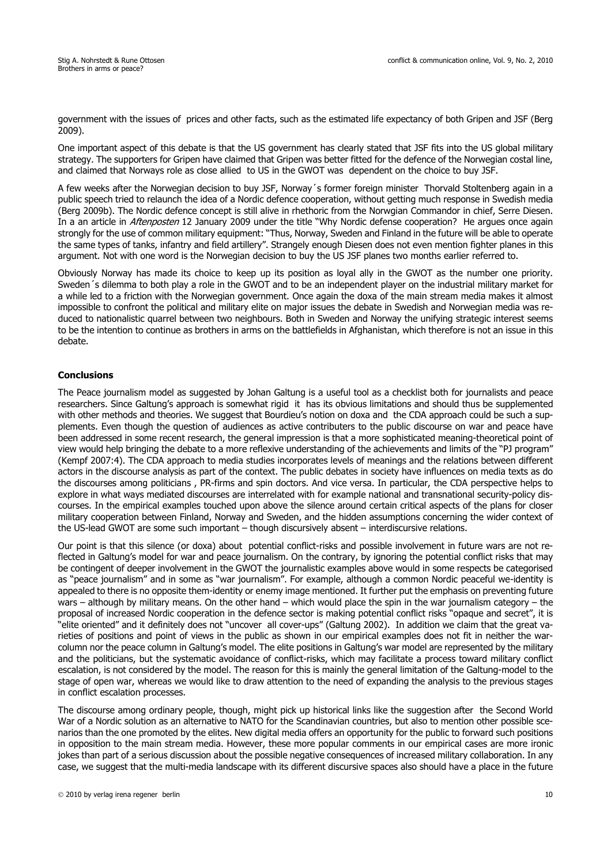government with the issues of prices and other facts, such as the estimated life expectancy of both Gripen and JSF (Berg 2009).

One important aspect of this debate is that the US government has clearly stated that JSF fits into the US global military strategy. The supporters for Gripen have claimed that Gripen was better fitted for the defence of the Norwegian costal line, and claimed that Norways role as close allied to US in the GWOT was dependent on the choice to buy JSF.

A few weeks after the Norwegian decision to buy JSF, Norway´s former foreign minister Thorvald Stoltenberg again in a public speech tried to relaunch the idea of a Nordic defence cooperation, without getting much response in Swedish media (Berg 2009b). The Nordic defence concept is still alive in rhethoric from the Norwgian Commandor in chief, Serre Diesen. In a an article in *Aftenposten* 12 January 2009 under the title "Why Nordic defense cooperation? He argues once again strongly for the use of common military equipment: "Thus, Norway, Sweden and Finland in the future will be able to operate the same types of tanks, infantry and field artillery". Strangely enough Diesen does not even mention fighter planes in this argument. Not with one word is the Norwegian decision to buy the US JSF planes two months earlier referred to.

Obviously Norway has made its choice to keep up its position as loyal ally in the GWOT as the number one priority. Sweden´s dilemma to both play a role in the GWOT and to be an independent player on the industrial military market for a while led to a friction with the Norwegian government. Once again the doxa of the main stream media makes it almost impossible to confront the political and military elite on major issues the debate in Swedish and Norwegian media was reduced to nationalistic quarrel between two neighbours. Both in Sweden and Norway the unifying strategic interest seems to be the intention to continue as brothers in arms on the battlefields in Afghanistan, which therefore is not an issue in this debate.

### **Conclusions**

The Peace journalism model as suggested by Johan Galtung is a useful tool as a checklist both for journalists and peace researchers. Since Galtung's approach is somewhat rigid it has its obvious limitations and should thus be supplemented with other methods and theories. We suggest that Bourdieu's notion on doxa and the CDA approach could be such a supplements. Even though the question of audiences as active contributers to the public discourse on war and peace have been addressed in some recent research, the general impression is that a more sophisticated meaning-theoretical point of view would help bringing the debate to a more reflexive understanding of the achievements and limits of the "PJ program" (Kempf 2007:4). The CDA approach to media studies incorporates levels of meanings and the relations between different actors in the discourse analysis as part of the context. The public debates in society have influences on media texts as do the discourses among politicians , PR-firms and spin doctors. And vice versa. In particular, the CDA perspective helps to explore in what ways mediated discourses are interrelated with for example national and transnational security-policy discourses. In the empirical examples touched upon above the silence around certain critical aspects of the plans for closer military cooperation between Finland, Norway and Sweden, and the hidden assumptions concerning the wider context of the US-lead GWOT are some such important – though discursively absent – interdiscursive relations.

Our point is that this silence (or doxa) about potential conflict-risks and possible involvement in future wars are not reflected in Galtung's model for war and peace journalism. On the contrary, by ignoring the potential conflict risks that may be contingent of deeper involvement in the GWOT the journalistic examples above would in some respects be categorised as "peace journalism" and in some as "war journalism". For example, although a common Nordic peaceful we-identity is appealed to there is no opposite them-identity or enemy image mentioned. It further put the emphasis on preventing future wars – although by military means. On the other hand – which would place the spin in the war journalism category – the proposal of increased Nordic cooperation in the defence sector is making potential conflict risks "opaque and secret", it is "elite oriented" and it definitely does not "uncover all cover-ups" (Galtung 2002). In addition we claim that the great varieties of positions and point of views in the public as shown in our empirical examples does not fit in neither the warcolumn nor the peace column in Galtung's model. The elite positions in Galtung's war model are represented by the military and the politicians, but the systematic avoidance of conflict-risks, which may facilitate a process toward military conflict escalation, is not considered by the model. The reason for this is mainly the general limitation of the Galtung-model to the stage of open war, whereas we would like to draw attention to the need of expanding the analysis to the previous stages in conflict escalation processes.

The discourse among ordinary people, though, might pick up historical links like the suggestion after the Second World War of a Nordic solution as an alternative to NATO for the Scandinavian countries, but also to mention other possible scenarios than the one promoted by the elites. New digital media offers an opportunity for the public to forward such positions in opposition to the main stream media. However, these more popular comments in our empirical cases are more ironic jokes than part of a serious discussion about the possible negative consequences of increased military collaboration. In any case, we suggest that the multi-media landscape with its different discursive spaces also should have a place in the future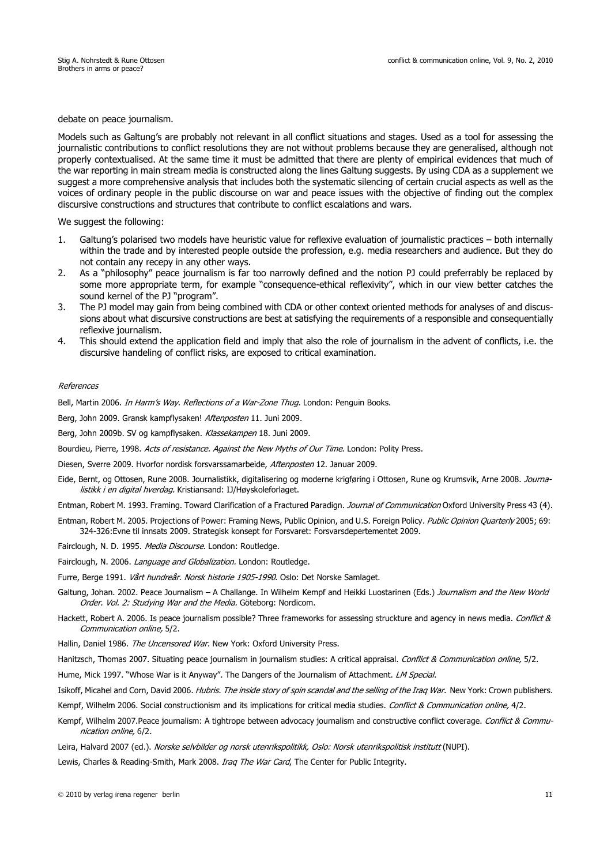debate on peace journalism.

Models such as Galtung's are probably not relevant in all conflict situations and stages. Used as a tool for assessing the journalistic contributions to conflict resolutions they are not without problems because they are generalised, although not properly contextualised. At the same time it must be admitted that there are plenty of empirical evidences that much of the war reporting in main stream media is constructed along the lines Galtung suggests. By using CDA as a supplement we suggest a more comprehensive analysis that includes both the systematic silencing of certain crucial aspects as well as the voices of ordinary people in the public discourse on war and peace issues with the objective of finding out the complex discursive constructions and structures that contribute to conflict escalations and wars.

We suggest the following:

- 1. Galtung's polarised two models have heuristic value for reflexive evaluation of journalistic practices both internally within the trade and by interested people outside the profession, e.g. media researchers and audience. But they do not contain any recepy in any other ways.
- 2. As a "philosophy" peace journalism is far too narrowly defined and the notion PJ could preferrably be replaced by some more appropriate term, for example "consequence-ethical reflexivity", which in our view better catches the sound kernel of the PJ "program".
- 3. The PJ model may gain from being combined with CDA or other context oriented methods for analyses of and discussions about what discursive constructions are best at satisfying the requirements of a responsible and consequentially reflexive journalism.
- 4. This should extend the application field and imply that also the role of journalism in the advent of conflicts, i.e. the discursive handeling of conflict risks, are exposed to critical examination.

#### References

Bell, Martin 2006. In Harm's Way. Reflections of a War-Zone Thug. London: Penguin Books.

Berg, John 2009. Gransk kampflysaken! Aftenposten 11. Juni 2009.

Berg, John 2009b. SV og kampflysaken. Klassekampen 18. Juni 2009.

Bourdieu, Pierre, 1998. Acts of resistance. Against the New Myths of Our Time. London: Polity Press.

Diesen, Sverre 2009. Hvorfor nordisk forsvarssamarbeide, Aftenposten 12. Januar 2009.

Eide, Bernt, og Ottosen, Rune 2008. Journalistikk, digitalisering og moderne krigføring i Ottosen, Rune og Krumsvik, Arne 2008. Journalistikk i en digital hverdag. Kristiansand: IJ/Høyskoleforlaget.

Entman, Robert M. 1993. Framing. Toward Clarification of a Fractured Paradign. Journal of Communication Oxford University Press 43 (4).

Entman, Robert M. 2005. Projections of Power: Framing News, Public Opinion, and U.S. Foreign Policy. Public Opinion Quarterly 2005; 69: 324-326:Evne til innsats 2009. Strategisk konsept for Forsvaret: Forsvarsdepertementet 2009.

Fairclough, N. D. 1995. Media Discourse. London: Routledge.

Fairclough, N. 2006. Language and Globalization. London: Routledge.

- Furre, Berge 1991. Vårt hundreår. Norsk historie 1905-1990. Oslo: Det Norske Samlaget.
- Galtung, Johan. 2002. Peace Journalism A Challange. In Wilhelm Kempf and Heikki Luostarinen (Eds.) Journalism and the New World Order. Vol. 2: Studying War and the Media. Göteborg: Nordicom.
- Hackett, Robert A. 2006. Is peace journalism possible? Three frameworks for assessing struckture and agency in news media. Conflict & Communication online, 5/2.
- Hallin, Daniel 1986. The Uncensored War. New York: Oxford University Press.

Hanitzsch, Thomas 2007. Situating peace journalism in journalism studies: A critical appraisal. Conflict & Communication online, 5/2.

Hume, Mick 1997. "Whose War is it Anyway". The Dangers of the Journalism of Attachment. LM Special.

Isikoff, Micahel and Corn, David 2006. Hubris. The inside story of spin scandal and the selling of the Iraq War. New York: Crown publishers.

Kempf, Wilhelm 2006. Social constructionism and its implications for critical media studies. Conflict & Communication online, 4/2.

Kempf, Wilhelm 2007.Peace journalism: A tightrope between advocacy journalism and constructive conflict coverage. Conflict & Communication online, 6/2.

Leira, Halvard 2007 (ed.). Norske selvbilder og norsk utenrikspolitikk, Oslo: Norsk utenrikspolitisk institutt (NUPI).

Lewis, Charles & Reading-Smith, Mark 2008. *Irag The War Card*, The Center for Public Integrity.